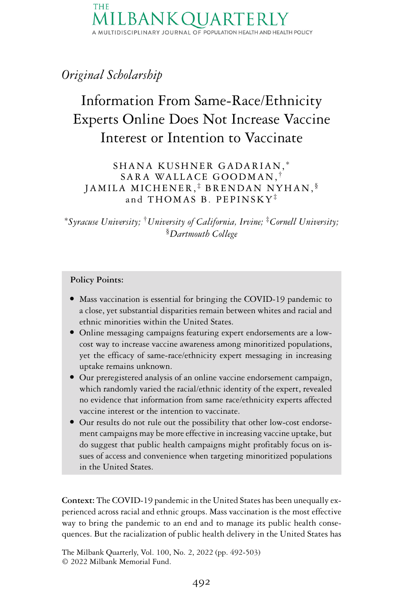**THF** A MULTIDISCIPLINARY JOURNAL OF POPULATION HEALTH AND HEALTH POLICY

## *Original Scholarship*

# Information From Same-Race/Ethnicity Experts Online Does Not Increase Vaccine Interest or Intention to Vaccinate

SHANA KUSHNER GADARIAN, <sup>∗</sup> SARA WALLACE GOODMAN, † JAMILA MICHENER, ‡ BRENDAN NYHAN, § and THOMAS B. PEPINSKY‡

<sup>∗</sup>*Syracuse University;* †*University of California, Irvine;* ‡*Cornell University;* §*Dartmouth College*

#### **Policy Points:**

- Mass vaccination is essential for bringing the COVID-19 pandemic to a close, yet substantial disparities remain between whites and racial and ethnic minorities within the United States.
- Online messaging campaigns featuring expert endorsements are a lowcost way to increase vaccine awareness among minoritized populations, yet the efficacy of same-race/ethnicity expert messaging in increasing uptake remains unknown.
- Our preregistered analysis of an online vaccine endorsement campaign, which randomly varied the racial/ethnic identity of the expert, revealed no evidence that information from same race/ethnicity experts affected vaccine interest or the intention to vaccinate.
- Our results do not rule out the possibility that other low-cost endorsement campaigns may be more effective in increasing vaccine uptake, but do suggest that public health campaigns might profitably focus on issues of access and convenience when targeting minoritized populations in the United States.

**Context:** The COVID-19 pandemic in the United States has been unequally experienced across racial and ethnic groups. Mass vaccination is the most effective way to bring the pandemic to an end and to manage its public health consequences. But the racialization of public health delivery in the United States has

The Milbank Quarterly, Vol. 100, No. 2, 2022 (pp. 492-503) © 2022 Milbank Memorial Fund.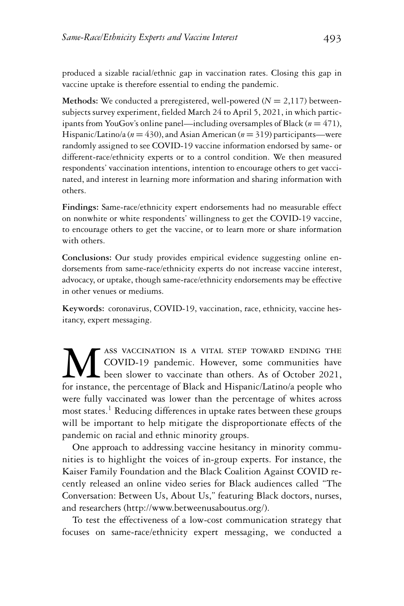produced a sizable racial/ethnic gap in vaccination rates. Closing this gap in vaccine uptake is therefore essential to ending the pandemic.

**Methods:** We conducted a preregistered, well-powered ( $N = 2,117$ ) betweensubjects survey experiment, fielded March 24 to April 5, 2021, in which participants from YouGov's online panel—including oversamples of Black (*n* = 471), Hispanic/Latino/a (*n* = 430), and Asian American (*n* = 319) participants—were randomly assigned to see COVID-19 vaccine information endorsed by same- or different-race/ethnicity experts or to a control condition. We then measured respondents' vaccination intentions, intention to encourage others to get vaccinated, and interest in learning more information and sharing information with others.

**Findings:** Same-race/ethnicity expert endorsements had no measurable effect on nonwhite or white respondents' willingness to get the COVID-19 vaccine, to encourage others to get the vaccine, or to learn more or share information with others.

**Conclusions:** Our study provides empirical evidence suggesting online endorsements from same-race/ethnicity experts do not increase vaccine interest, advocacy, or uptake, though same-race/ethnicity endorsements may be effective in other venues or mediums.

**Keywords:** coronavirus, COVID-19, vaccination, race, ethnicity, vaccine hesitancy, expert messaging.

Mass VACCINATION IS A VITAL STEP TOWARD ENDING THE COVID-19 pandemic. However, some communities have been slower to vaccinate than others. As of October 2021, for instance, the percentage of Black and Hispanic/Latino/a peo COVID-19 pandemic. However, some communities have been slower to vaccinate than others. As of October 2021, for instance, the percentage of Black and Hispanic/Latino/a people who were fully vaccinated was lower than the percentage of whites across most states.<sup>1</sup> Reducing differences in uptake rates between these groups will be important to help mitigate the disproportionate effects of the pandemic on racial and ethnic minority groups.

One approach to addressing vaccine hesitancy in minority communities is to highlight the voices of in-group experts. For instance, the Kaiser Family Foundation and the Black Coalition Against COVID recently released an online video series for Black audiences called "The Conversation: Between Us, About Us," featuring Black doctors, nurses, and researchers [\(http://www.betweenusaboutus.org/\)](http://www.betweenusaboutus.org/).

To test the effectiveness of a low-cost communication strategy that focuses on same-race/ethnicity expert messaging, we conducted a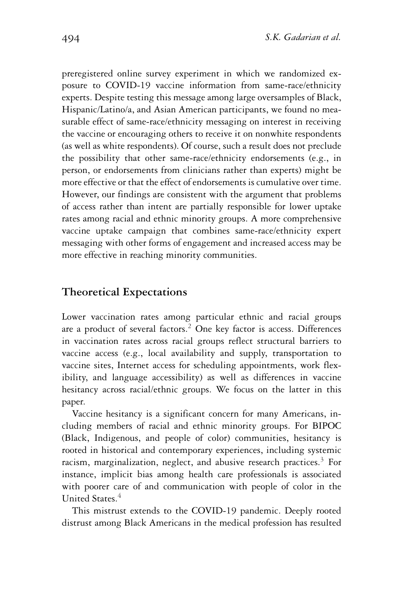preregistered online survey experiment in which we randomized exposure to COVID-19 vaccine information from same-race/ethnicity experts. Despite testing this message among large oversamples of Black, Hispanic/Latino/a, and Asian American participants, we found no measurable effect of same-race/ethnicity messaging on interest in receiving the vaccine or encouraging others to receive it on nonwhite respondents (as well as white respondents). Of course, such a result does not preclude the possibility that other same-race/ethnicity endorsements (e.g., in person, or endorsements from clinicians rather than experts) might be more effective or that the effect of endorsements is cumulative over time. However, our findings are consistent with the argument that problems of access rather than intent are partially responsible for lower uptake rates among racial and ethnic minority groups. A more comprehensive vaccine uptake campaign that combines same-race/ethnicity expert messaging with other forms of engagement and increased access may be more effective in reaching minority communities.

### **Theoretical Expectations**

Lower vaccination rates among particular ethnic and racial groups are a product of several factors.<sup>2</sup> One key factor is access. Differences in vaccination rates across racial groups reflect structural barriers to vaccine access (e.g., local availability and supply, transportation to vaccine sites, Internet access for scheduling appointments, work flexibility, and language accessibility) as well as differences in vaccine hesitancy across racial/ethnic groups. We focus on the latter in this paper.

Vaccine hesitancy is a significant concern for many Americans, including members of racial and ethnic minority groups. For BIPOC (Black, Indigenous, and people of color) communities, hesitancy is rooted in historical and contemporary experiences, including systemic racism, marginalization, neglect, and abusive research practices. $3$  For instance, implicit bias among health care professionals is associated with poorer care of and communication with people of color in the United States.<sup>4</sup>

This mistrust extends to the COVID-19 pandemic. Deeply rooted distrust among Black Americans in the medical profession has resulted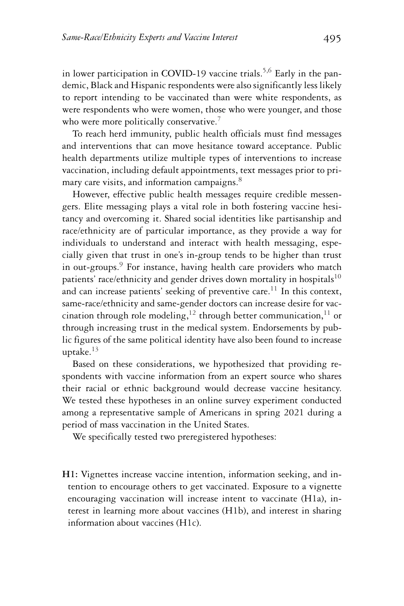in lower participation in COVID-19 vaccine trials.<sup>5,6</sup> Early in the pandemic, Black and Hispanic respondents were also significantly less likely to report intending to be vaccinated than were white respondents, as were respondents who were women, those who were younger, and those who were more politically conservative.<sup>7</sup>

To reach herd immunity, public health officials must find messages and interventions that can move hesitance toward acceptance. Public health departments utilize multiple types of interventions to increase vaccination, including default appointments, text messages prior to primary care visits, and information campaigns.<sup>8</sup>

However, effective public health messages require credible messengers. Elite messaging plays a vital role in both fostering vaccine hesitancy and overcoming it. Shared social identities like partisanship and race/ethnicity are of particular importance, as they provide a way for individuals to understand and interact with health messaging, especially given that trust in one's in-group tends to be higher than trust in out-groups.<sup>9</sup> For instance, having health care providers who match patients' race/ethnicity and gender drives down mortality in hospitals $^{10}$ and can increase patients' seeking of preventive care.<sup>11</sup> In this context, same-race/ethnicity and same-gender doctors can increase desire for vaccination through role modeling,<sup>12</sup> through better communication,<sup>11</sup> or through increasing trust in the medical system. Endorsements by public figures of the same political identity have also been found to increase uptake. $13$ 

Based on these considerations, we hypothesized that providing respondents with vaccine information from an expert source who shares their racial or ethnic background would decrease vaccine hesitancy. We tested these hypotheses in an online survey experiment conducted among a representative sample of Americans in spring 2021 during a period of mass vaccination in the United States.

We specifically tested two preregistered hypotheses:

**H1:** Vignettes increase vaccine intention, information seeking, and intention to encourage others to get vaccinated. Exposure to a vignette encouraging vaccination will increase intent to vaccinate (H1a), interest in learning more about vaccines (H1b), and interest in sharing information about vaccines (H1c).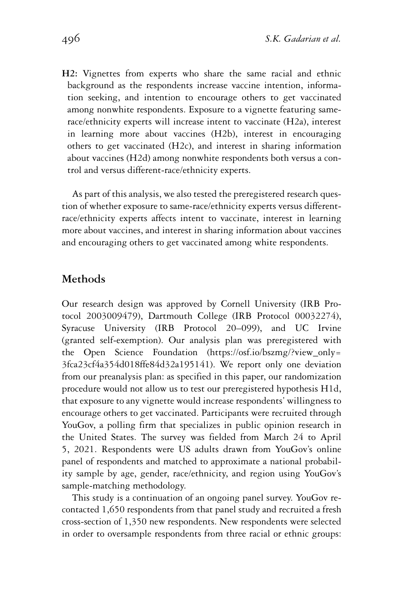**H2:** Vignettes from experts who share the same racial and ethnic background as the respondents increase vaccine intention, information seeking, and intention to encourage others to get vaccinated among nonwhite respondents. Exposure to a vignette featuring samerace/ethnicity experts will increase intent to vaccinate (H2a), interest in learning more about vaccines (H2b), interest in encouraging others to get vaccinated (H2c), and interest in sharing information about vaccines (H2d) among nonwhite respondents both versus a control and versus different-race/ethnicity experts.

As part of this analysis, we also tested the preregistered research question of whether exposure to same-race/ethnicity experts versus differentrace/ethnicity experts affects intent to vaccinate, interest in learning more about vaccines, and interest in sharing information about vaccines and encouraging others to get vaccinated among white respondents.

#### **Methods**

Our research design was approved by Cornell University (IRB Protocol 2003009479), Dartmouth College (IRB Protocol 00032274), Syracuse University (IRB Protocol 20–099), and UC Irvine (granted self-exemption). Our analysis plan was preregistered with the Open Science Foundation [\(https://osf.io/bszmg/?view\\_only=](https://osf.io/bszmg/?view_only3fca23cf4a354d018ffe84d32a195141) [3fca23cf4a354d018ffe84d32a195141\)](https://osf.io/bszmg/?view_only3fca23cf4a354d018ffe84d32a195141). We report only one deviation from our preanalysis plan: as specified in this paper, our randomization procedure would not allow us to test our preregistered hypothesis H1d, that exposure to any vignette would increase respondents' willingness to encourage others to get vaccinated. Participants were recruited through YouGov, a polling firm that specializes in public opinion research in the United States. The survey was fielded from March 24 to April 5, 2021. Respondents were US adults drawn from YouGov's online panel of respondents and matched to approximate a national probability sample by age, gender, race/ethnicity, and region using YouGov's sample-matching methodology.

This study is a continuation of an ongoing panel survey. YouGov recontacted 1,650 respondents from that panel study and recruited a fresh cross-section of 1,350 new respondents. New respondents were selected in order to oversample respondents from three racial or ethnic groups: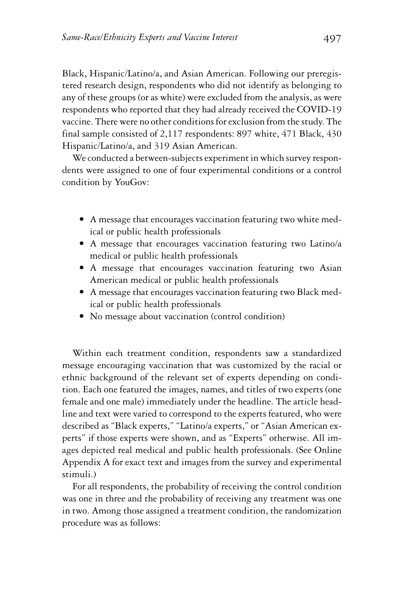Black, Hispanic/Latino/a, and Asian American. Following our preregistered research design, respondents who did not identify as belonging to any of these groups (or as white) were excluded from the analysis, as were respondents who reported that they had already received the COVID-19 vaccine. There were no other conditions for exclusion from the study. The final sample consisted of 2,117 respondents: 897 white, 471 Black, 430 Hispanic/Latino/a, and 319 Asian American.

We conducted a between-subjects experiment in which survey respondents were assigned to one of four experimental conditions or a control condition by YouGov:

- A message that encourages vaccination featuring two white medical or public health professionals
- A message that encourages vaccination featuring two Latino/a medical or public health professionals
- A message that encourages vaccination featuring two Asian American medical or public health professionals
- A message that encourages vaccination featuring two Black medical or public health professionals
- $\bullet$  No message about vaccination (control condition)

Within each treatment condition, respondents saw a standardized message encouraging vaccination that was customized by the racial or ethnic background of the relevant set of experts depending on condition. Each one featured the images, names, and titles of two experts (one female and one male) immediately under the headline. The article headline and text were varied to correspond to the experts featured, who were described as "Black experts," "Latino/a experts," or "Asian American experts" if those experts were shown, and as "Experts" otherwise. All images depicted real medical and public health professionals. (See Online Appendix A for exact text and images from the survey and experimental stimuli.)

For all respondents, the probability of receiving the control condition was one in three and the probability of receiving any treatment was one in two. Among those assigned a treatment condition, the randomization procedure was as follows: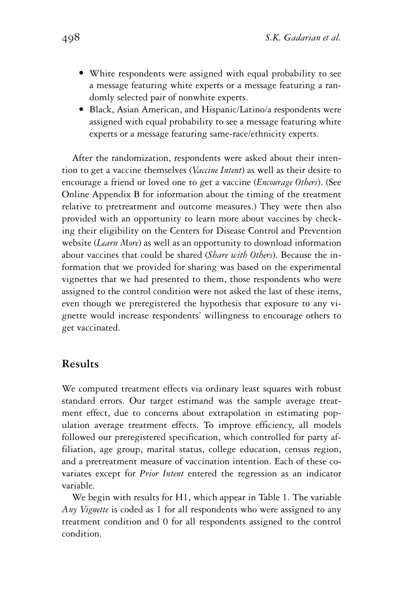- White respondents were assigned with equal probability to see a message featuring white experts or a message featuring a randomly selected pair of nonwhite experts.
- Black, Asian American, and Hispanic/Latino/a respondents were assigned with equal probability to see a message featuring white experts or a message featuring same-race/ethnicity experts.

After the randomization, respondents were asked about their intention to get a vaccine themselves (*Vaccine Intent*) as well as their desire to encourage a friend or loved one to get a vaccine (*Encourage Others*). (See Online Appendix B for information about the timing of the treatment relative to pretreatment and outcome measures.) They were then also provided with an opportunity to learn more about vaccines by checking their eligibility on the Centers for Disease Control and Prevention website (*Learn More*) as well as an opportunity to download information about vaccines that could be shared (*Share with Others*). Because the information that we provided for sharing was based on the experimental vignettes that we had presented to them, those respondents who were assigned to the control condition were not asked the last of these items, even though we preregistered the hypothesis that exposure to any vignette would increase respondents' willingness to encourage others to get vaccinated.

#### **Results**

We computed treatment effects via ordinary least squares with robust standard errors. Our target estimand was the sample average treatment effect, due to concerns about extrapolation in estimating population average treatment effects. To improve efficiency, all models followed our preregistered specification, which controlled for party affiliation, age group, marital status, college education, census region, and a pretreatment measure of vaccination intention. Each of these covariates except for *Prior Intent* entered the regression as an indicator variable.

We begin with results for H1, which appear in Table 1. The variable *Any Vignette* is coded as 1 for all respondents who were assigned to any treatment condition and 0 for all respondents assigned to the control condition.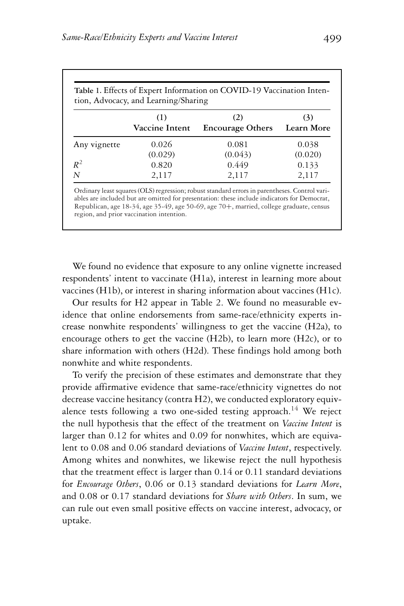| Table 1. Effects of Expert Information on COVID-19 Vaccination Inten-<br>tion, Advocacy, and Learning/Sharing |                       |                                |                   |  |  |  |
|---------------------------------------------------------------------------------------------------------------|-----------------------|--------------------------------|-------------------|--|--|--|
|                                                                                                               | (1)<br>Vaccine Intent | (2)<br><b>Encourage Others</b> | (3)<br>Learn More |  |  |  |
| Any vignette                                                                                                  | 0.026                 | 0.081                          | 0.038             |  |  |  |
|                                                                                                               | (0.029)               | (0.043)                        | (0.020)           |  |  |  |
| $R^2$                                                                                                         | 0.820                 | 0.449                          | 0.133             |  |  |  |
| N                                                                                                             | 2,117                 | 2,117                          | 2,117             |  |  |  |

Ordinary least squares (OLS) regression; robust standard errors in parentheses. Control variables are included but are omitted for presentation: these include indicators for Democrat, Republican, age 18-34, age 35-49, age 50-69, age 70+, married, college graduate, census region, and prior vaccination intention.

We found no evidence that exposure to any online vignette increased respondents' intent to vaccinate (H1a), interest in learning more about vaccines (H1b), or interest in sharing information about vaccines (H1c).

Our results for H2 appear in Table 2. We found no measurable evidence that online endorsements from same-race/ethnicity experts increase nonwhite respondents' willingness to get the vaccine (H2a), to encourage others to get the vaccine (H2b), to learn more (H2c), or to share information with others (H2d). These findings hold among both nonwhite and white respondents.

To verify the precision of these estimates and demonstrate that they provide affirmative evidence that same-race/ethnicity vignettes do not decrease vaccine hesitancy (contra H2), we conducted exploratory equivalence tests following a two one-sided testing approach.<sup>14</sup> We reject the null hypothesis that the effect of the treatment on *Vaccine Intent* is larger than 0.12 for whites and 0.09 for nonwhites, which are equivalent to 0.08 and 0.06 standard deviations of *Vaccine Intent*, respectively. Among whites and nonwhites, we likewise reject the null hypothesis that the treatment effect is larger than 0.14 or 0.11 standard deviations for *Encourage Others*, 0.06 or 0.13 standard deviations for *Learn More*, and 0.08 or 0.17 standard deviations for *Share with Others*. In sum, we can rule out even small positive effects on vaccine interest, advocacy, or uptake.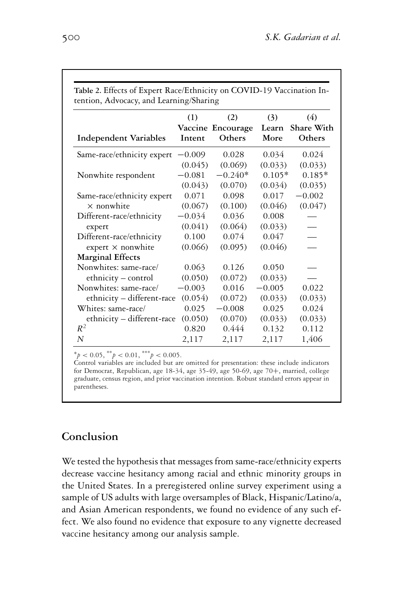|                              | (1)      | (2)<br>Vaccine Encourage | (3)<br>Learn | (4)<br>Share With |
|------------------------------|----------|--------------------------|--------------|-------------------|
| <b>Independent Variables</b> | Intent   | Others                   | More         | Others            |
| Same-race/ethnicity expert   | $-0.009$ | 0.028                    | 0.034        | 0.024             |
|                              | (0.045)  | (0.069)                  | (0.033)      | (0.033)           |
| Nonwhite respondent          | $-0.081$ | $-0.240*$                | $0.105*$     | $0.185*$          |
|                              | (0.043)  | (0.070)                  | (0.034)      | (0.035)           |
| Same-race/ethnicity expert   | 0.071    | 0.098                    | 0.017        | $-0.002$          |
| $\times$ nonwhite            | (0.067)  | (0.100)                  | (0.046)      | (0.047)           |
| Different-race/ethnicity     | $-0.034$ | 0.036                    | 0.008        |                   |
| expert                       | (0.041)  | (0.064)                  | (0.033)      |                   |
| Different-race/ethnicity     | 0.100    | 0.074                    | 0.047        |                   |
| expert $\times$ nonwhite     | (0.066)  | (0.095)                  | (0.046)      |                   |
| <b>Marginal Effects</b>      |          |                          |              |                   |
| Nonwhites: same-race/        | 0.063    | 0.126                    | 0.050        |                   |
| ethnicity - control          | (0.050)  | (0.072)                  | (0.033)      |                   |
| Nonwhites: same-race/        | $-0.003$ | 0.016                    | $-0.005$     | 0.022             |
| ethnicity - different-race   | (0.054)  | (0.072)                  | (0.033)      | (0.033)           |
| Whites: same-race/           | 0.025    | $-0.008$                 | 0.025        | 0.024             |
| ethnicity - different-race   | (0.050)  | (0.070)                  | (0.033)      | (0.033)           |
| $R^2$                        | 0.820    | 0.444                    | 0.132        | 0.112             |
| $\overline{N}$               | 2,117    | 2,117                    | 2,117        | 1,406             |

 $^{*}p < 0.05, ^{**}p < 0.01, ^{***}p < 0.005.$ 

Control variables are included but are omitted for presentation: these include indicators for Democrat, Republican, age 18-34, age 35-49, age 50-69, age 70+, married, college graduate, census region, and prior vaccination intention. Robust standard errors appear in parentheses.

## **Conclusion**

We tested the hypothesis that messages from same-race/ethnicity experts decrease vaccine hesitancy among racial and ethnic minority groups in the United States. In a preregistered online survey experiment using a sample of US adults with large oversamples of Black, Hispanic/Latino/a, and Asian American respondents, we found no evidence of any such effect. We also found no evidence that exposure to any vignette decreased vaccine hesitancy among our analysis sample.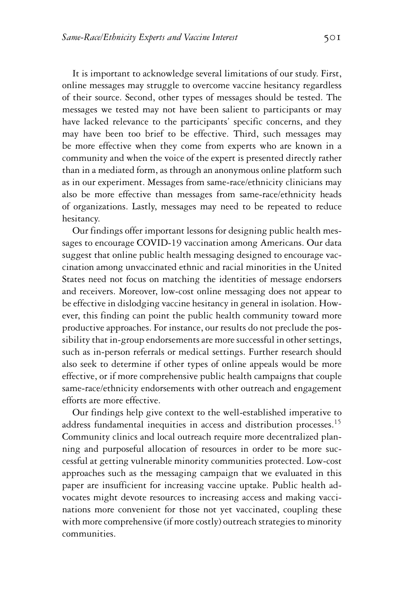It is important to acknowledge several limitations of our study. First, online messages may struggle to overcome vaccine hesitancy regardless of their source. Second, other types of messages should be tested. The messages we tested may not have been salient to participants or may have lacked relevance to the participants' specific concerns, and they may have been too brief to be effective. Third, such messages may be more effective when they come from experts who are known in a community and when the voice of the expert is presented directly rather than in a mediated form, as through an anonymous online platform such as in our experiment. Messages from same-race/ethnicity clinicians may also be more effective than messages from same-race/ethnicity heads of organizations. Lastly, messages may need to be repeated to reduce hesitancy.

Our findings offer important lessons for designing public health messages to encourage COVID-19 vaccination among Americans. Our data suggest that online public health messaging designed to encourage vaccination among unvaccinated ethnic and racial minorities in the United States need not focus on matching the identities of message endorsers and receivers. Moreover, low-cost online messaging does not appear to be effective in dislodging vaccine hesitancy in general in isolation. However, this finding can point the public health community toward more productive approaches. For instance, our results do not preclude the possibility that in-group endorsements are more successful in other settings, such as in-person referrals or medical settings. Further research should also seek to determine if other types of online appeals would be more effective, or if more comprehensive public health campaigns that couple same-race/ethnicity endorsements with other outreach and engagement efforts are more effective.

Our findings help give context to the well-established imperative to address fundamental inequities in access and distribution processes.<sup>15</sup> Community clinics and local outreach require more decentralized planning and purposeful allocation of resources in order to be more successful at getting vulnerable minority communities protected. Low-cost approaches such as the messaging campaign that we evaluated in this paper are insufficient for increasing vaccine uptake. Public health advocates might devote resources to increasing access and making vaccinations more convenient for those not yet vaccinated, coupling these with more comprehensive (if more costly) outreach strategies to minority communities.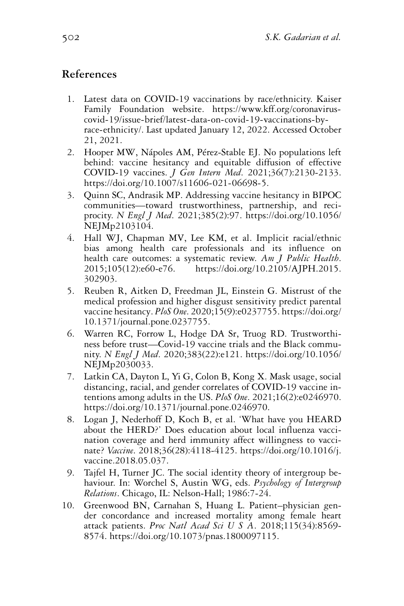## **References**

- 1. Latest data on COVID-19 vaccinations by race/ethnicity. Kaiser Family Foundation website. [https://www.kff.org/coronavirus](https://www.kff.org/coronavirus-covid-19/issue-brief/latest-data-on-covid-19-vaccinations-by-race-ethnicity/)[covid-19/issue-brief/latest-data-on-covid-19-vaccinations-by](https://www.kff.org/coronavirus-covid-19/issue-brief/latest-data-on-covid-19-vaccinations-by-race-ethnicity/)[race-ethnicity/.](https://www.kff.org/coronavirus-covid-19/issue-brief/latest-data-on-covid-19-vaccinations-by-race-ethnicity/) Last updated January 12, 2022. Accessed October 21, 2021.
- 2. Hooper MW, Nápoles AM, Pérez-Stable EJ. No populations left behind: vaccine hesitancy and equitable diffusion of effective COVID-19 vaccines. *J Gen Intern Med*. 2021;36(7):2130-2133. [https://doi.org/10.1007/s11606-021-06698-5.](https://doi.org/10.1007/s11606-021-06698-5)
- 3. Quinn SC, Andrasik MP. Addressing vaccine hesitancy in BIPOC communities—toward trustworthiness, partnership, and reciprocity. *N Engl J Med*. 2021;385(2):97. [https://doi.org/10.1056/](https://doi.org/10.1056/NEJMp2103104) [NEJMp2103104.](https://doi.org/10.1056/NEJMp2103104)
- 4. Hall WJ, Chapman MV, Lee KM, et al. Implicit racial/ethnic bias among health care professionals and its influence on health care outcomes: a systematic review. *Am J Public Health*. 2015;105(12):e60-e76. [https://doi.org/10.2105/AJPH.2015.](https://doi.org/10.2105/AJPH.2015.302903) [302903.](https://doi.org/10.2105/AJPH.2015.302903)
- 5. Reuben R, Aitken D, Freedman JL, Einstein G. Mistrust of the medical profession and higher disgust sensitivity predict parental vaccine hesitancy. *PloS One*. 2020;15(9):e0237755. [https://doi.org/](https://doi.org/10.1371/journal.pone.0237755) [10.1371/journal.pone.0237755.](https://doi.org/10.1371/journal.pone.0237755)
- 6. Warren RC, Forrow L, Hodge DA Sr, Truog RD. Trustworthiness before trust—Covid-19 vaccine trials and the Black community. *N Engl J Med*. 2020;383(22):e121. [https://doi.org/10.1056/](https://doi.org/10.1056/NEJMp2030033) [NEJMp2030033.](https://doi.org/10.1056/NEJMp2030033)
- 7. Latkin CA, Dayton L, Yi G, Colon B, Kong X. Mask usage, social distancing, racial, and gender correlates of COVID-19 vaccine intentions among adults in the US. *PloS One*. 2021;16(2):e0246970. [https://doi.org/10.1371/journal.pone.0246970.](https://doi.org/10.1371/journal.pone.0246970)
- 8. Logan J, Nederhoff D, Koch B, et al. 'What have you HEARD about the HERD?' Does education about local influenza vaccination coverage and herd immunity affect willingness to vaccinate? *Vaccine*. 2018;36(28):4118-4125. [https://doi.org/10.1016/j.](https://doi.org/10.1016/j.vaccine.2018.05.037) [vaccine.2018.05.037.](https://doi.org/10.1016/j.vaccine.2018.05.037)
- 9. Tajfel H, Turner JC. The social identity theory of intergroup behaviour. In: Worchel S, Austin WG, eds. *Psychology of Intergroup Relations*. Chicago, IL: Nelson-Hall; 1986:7-24.
- 10. Greenwood BN, Carnahan S, Huang L. Patient–physician gender concordance and increased mortality among female heart attack patients. *Proc Natl Acad Sci U S A*. 2018;115(34):8569- 8574. [https://doi.org/10.1073/pnas.1800097115.](https://doi.org/10.1073/pnas.1800097115)